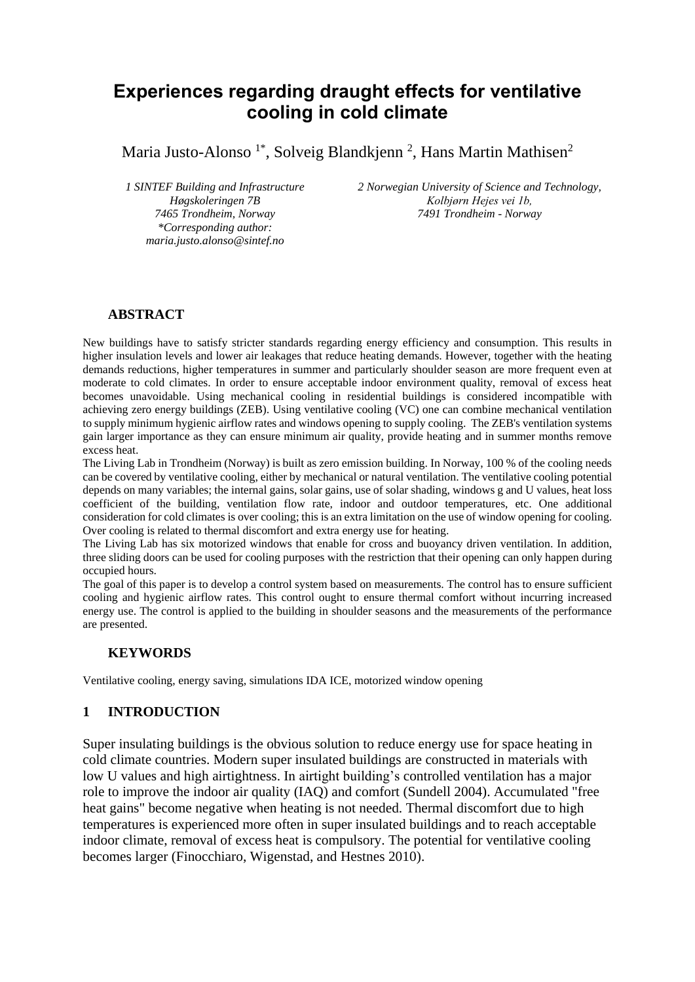# **Experiences regarding draught effects for ventilative cooling in cold climate**

Maria Justo-Alonso<sup>1\*</sup>, Solveig Blandkjenn<sup>2</sup>, Hans Martin Mathisen<sup>2</sup>

*1 SINTEF Building and Infrastructure Høgskoleringen 7B 7465 Trondheim, Norway \*Corresponding author: maria.justo.alonso@sintef.no*

*2 Norwegian University of Science and Technology, Kolbjørn Hejes vei 1b, 7491 Trondheim - Norway*

# **ABSTRACT**

New buildings have to satisfy stricter standards regarding energy efficiency and consumption. This results in higher insulation levels and lower air leakages that reduce heating demands. However, together with the heating demands reductions, higher temperatures in summer and particularly shoulder season are more frequent even at moderate to cold climates. In order to ensure acceptable indoor environment quality, removal of excess heat becomes unavoidable. Using mechanical cooling in residential buildings is considered incompatible with achieving zero energy buildings (ZEB). Using ventilative cooling (VC) one can combine mechanical ventilation to supply minimum hygienic airflow rates and windows opening to supply cooling. The ZEB's ventilation systems gain larger importance as they can ensure minimum air quality, provide heating and in summer months remove excess heat.

The Living Lab in Trondheim (Norway) is built as zero emission building. In Norway, 100 % of the cooling needs can be covered by ventilative cooling, either by mechanical or natural ventilation. The ventilative cooling potential depends on many variables; the internal gains, solar gains, use of solar shading, windows g and U values, heat loss coefficient of the building, ventilation flow rate, indoor and outdoor temperatures, etc. One additional consideration for cold climates is over cooling; this is an extra limitation on the use of window opening for cooling. Over cooling is related to thermal discomfort and extra energy use for heating.

The Living Lab has six motorized windows that enable for cross and buoyancy driven ventilation. In addition, three sliding doors can be used for cooling purposes with the restriction that their opening can only happen during occupied hours.

The goal of this paper is to develop a control system based on measurements. The control has to ensure sufficient cooling and hygienic airflow rates. This control ought to ensure thermal comfort without incurring increased energy use. The control is applied to the building in shoulder seasons and the measurements of the performance are presented.

#### **KEYWORDS**

Ventilative cooling, energy saving, simulations IDA ICE, motorized window opening

#### **1 INTRODUCTION**

Super insulating buildings is the obvious solution to reduce energy use for space heating in cold climate countries. Modern super insulated buildings are constructed in materials with low U values and high airtightness. In airtight building's controlled ventilation has a major role to improve the indoor air quality (IAQ) and comfort (Sundell 2004). Accumulated "free heat gains" become negative when heating is not needed. Thermal discomfort due to high temperatures is experienced more often in super insulated buildings and to reach acceptable indoor climate, removal of excess heat is compulsory. The potential for ventilative cooling becomes larger (Finocchiaro, Wigenstad, and Hestnes 2010).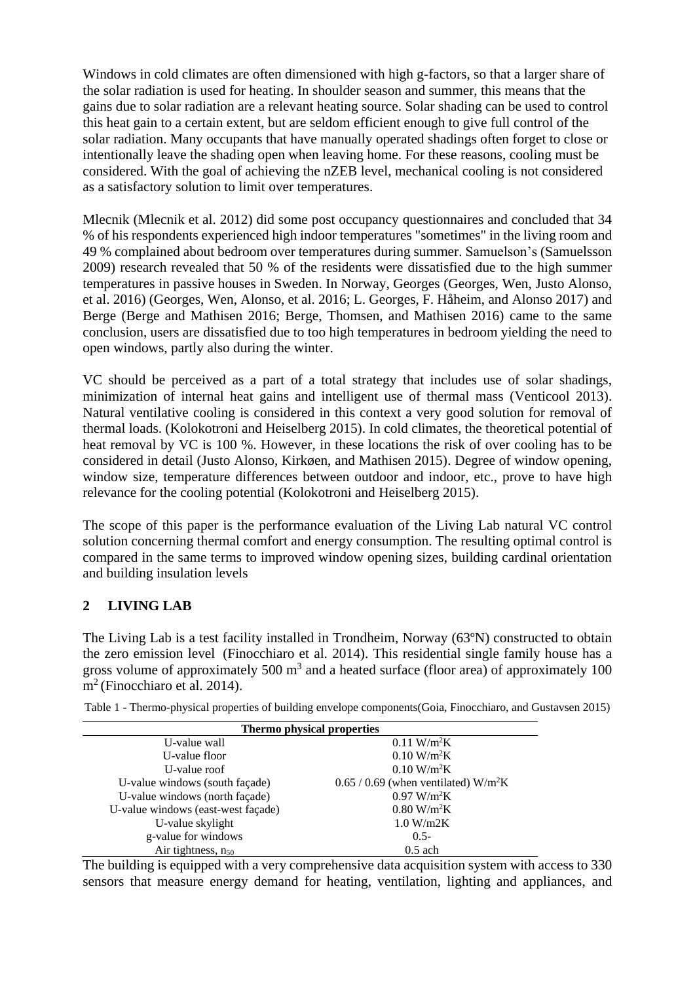Windows in cold climates are often dimensioned with high g-factors, so that a larger share of the solar radiation is used for heating. In shoulder season and summer, this means that the gains due to solar radiation are a relevant heating source. Solar shading can be used to control this heat gain to a certain extent, but are seldom efficient enough to give full control of the solar radiation. Many occupants that have manually operated shadings often forget to close or intentionally leave the shading open when leaving home. For these reasons, cooling must be considered. With the goal of achieving the nZEB level, mechanical cooling is not considered as a satisfactory solution to limit over temperatures.

Mlecnik (Mlecnik et al. 2012) did some post occupancy questionnaires and concluded that 34 % of his respondents experienced high indoor temperatures "sometimes" in the living room and 49 % complained about bedroom over temperatures during summer. Samuelson's (Samuelsson 2009) research revealed that 50 % of the residents were dissatisfied due to the high summer temperatures in passive houses in Sweden. In Norway, Georges (Georges, Wen, Justo Alonso, et al. 2016) (Georges, Wen, Alonso, et al. 2016; L. Georges, F. Håheim, and Alonso 2017) and Berge (Berge and Mathisen 2016; Berge, Thomsen, and Mathisen 2016) came to the same conclusion, users are dissatisfied due to too high temperatures in bedroom yielding the need to open windows, partly also during the winter.

VC should be perceived as a part of a total strategy that includes use of solar shadings, minimization of internal heat gains and intelligent use of thermal mass (Venticool 2013). Natural ventilative cooling is considered in this context a very good solution for removal of thermal loads. (Kolokotroni and Heiselberg 2015). In cold climates, the theoretical potential of heat removal by VC is 100 %. However, in these locations the risk of over cooling has to be considered in detail (Justo Alonso, Kirkøen, and Mathisen 2015). Degree of window opening, window size, temperature differences between outdoor and indoor, etc., prove to have high relevance for the cooling potential (Kolokotroni and Heiselberg 2015).

The scope of this paper is the performance evaluation of the Living Lab natural VC control solution concerning thermal comfort and energy consumption. The resulting optimal control is compared in the same terms to improved window opening sizes, building cardinal orientation and building insulation levels

# **2 LIVING LAB**

The Living Lab is a test facility installed in Trondheim, Norway (63ºN) constructed to obtain the zero emission level (Finocchiaro et al. 2014). This residential single family house has a gross volume of approximately 500  $m<sup>3</sup>$  and a heated surface (floor area) of approximately 100 m<sup>2</sup> (Finocchiaro et al. 2014).

| Thermo physical properties         |                                                    |  |  |  |
|------------------------------------|----------------------------------------------------|--|--|--|
| U-value wall                       | $0.11 \text{ W/m}^2\text{K}$                       |  |  |  |
| U-value floor                      | $0.10 \text{ W/m}^2\text{K}$                       |  |  |  |
| U-value roof                       | $0.10 \text{ W/m}^2\text{K}$                       |  |  |  |
| U-value windows (south façade)     | $0.65 / 0.69$ (when ventilated) W/m <sup>2</sup> K |  |  |  |
| U-value windows (north façade)     | 0.97 W/m <sup>2</sup> K                            |  |  |  |
| U-value windows (east-west façade) | $0.80$ W/m <sup>2</sup> K                          |  |  |  |
| U-value skylight                   | 1.0 W/m2K                                          |  |  |  |
| g-value for windows                | $0.5 -$                                            |  |  |  |
| Air tightness, $n_{50}$            | $0.5$ ach                                          |  |  |  |

Table 1 - Thermo-physical properties of building envelope components(Goia, Finocchiaro, and Gustavsen 2015)

The building is equipped with a very comprehensive data acquisition system with access to 330 sensors that measure energy demand for heating, ventilation, lighting and appliances, and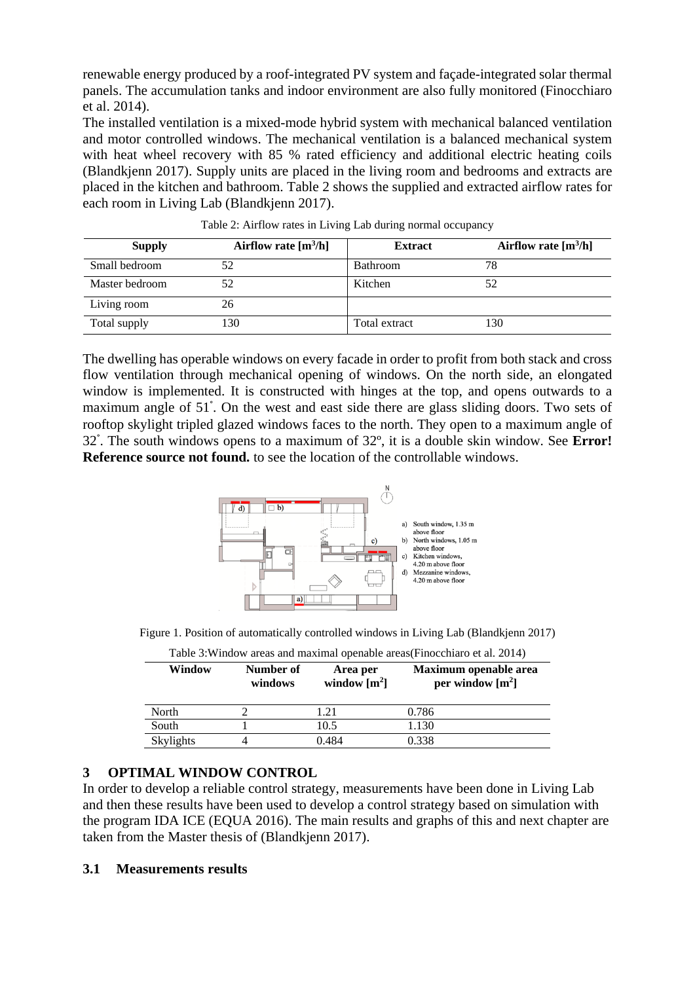renewable energy produced by a roof-integrated PV system and façade-integrated solar thermal panels. The accumulation tanks and indoor environment are also fully monitored (Finocchiaro et al. 2014).

The installed ventilation is a mixed-mode hybrid system with mechanical balanced ventilation and motor controlled windows. The mechanical ventilation is a balanced mechanical system with heat wheel recovery with 85 % rated efficiency and additional electric heating coils (Blandkjenn 2017). Supply units are placed in the living room and bedrooms and extracts are placed in the kitchen and bathroom. [Table 2](#page-2-0) shows the supplied and extracted airflow rates for each room in Living Lab (Blandkjenn 2017).

<span id="page-2-0"></span>

| <b>Supply</b>  | Airflow rate $[m3/h]$ | <b>Extract</b>  | Airflow rate $[m3/h]$ |
|----------------|-----------------------|-----------------|-----------------------|
| Small bedroom  | 52                    | <b>Bathroom</b> | 78                    |
| Master bedroom | 52                    | Kitchen         |                       |
| Living room    | 26                    |                 |                       |
| Total supply   | 130                   | Total extract   | 130                   |

Table 2: Airflow rates in Living Lab during normal occupancy

The dwelling has operable windows on every facade in order to profit from both stack and cross flow ventilation through mechanical opening of windows. On the north side, an elongated window is implemented. It is constructed with hinges at the top, and opens outwards to a maximum angle of 51° . On the west and east side there are glass sliding doors. Two sets of rooftop skylight tripled glazed windows faces to the north. They open to a maximum angle of 32 ° . The south windows opens to a maximum of 32º, it is a double skin window. See **Error! Reference source not found.** to see the location of the controllable windows.



Figure 1. Position of automatically controlled windows in Living Lab (Blandkjenn 2017)

| Window    | Number of<br>windows | Area per<br>window $\lceil m^2 \rceil$ | Maximum openable area<br>per window $[m^2]$ |
|-----------|----------------------|----------------------------------------|---------------------------------------------|
| North     |                      | 1.21                                   | 0.786                                       |
| South     |                      | 10.5                                   | 1.130                                       |
| Skylights |                      | 0.484                                  | 0.338                                       |

Table 3:Window areas and maximal openable areas(Finocchiaro et al. 2014)

# **3 OPTIMAL WINDOW CONTROL**

In order to develop a reliable control strategy, measurements have been done in Living Lab and then these results have been used to develop a control strategy based on simulation with the program IDA ICE (EQUA 2016). The main results and graphs of this and next chapter are taken from the Master thesis of (Blandkjenn 2017).

# **3.1 Measurements results**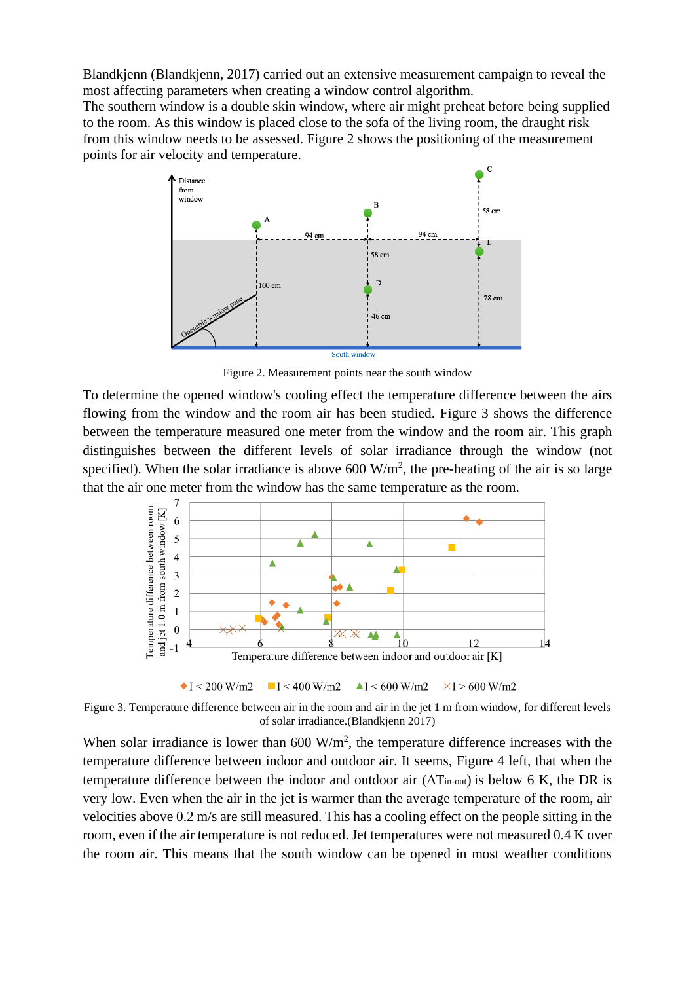Blandkjenn (Blandkjenn, 2017) carried out an extensive measurement campaign to reveal the most affecting parameters when creating a window control algorithm.

The southern window is a double skin window, where air might preheat before being supplied to the room. As this window is placed close to the sofa of the living room, the draught risk from this window needs to be assessed. [Figure 2](#page-3-0) shows the positioning of the measurement points for air velocity and temperature.



Figure 2. Measurement points near the south window

<span id="page-3-0"></span>To determine the opened window's cooling effect the temperature difference between the airs flowing from the window and the room air has been studied. [Figure 3](#page-3-1) shows the difference between the temperature measured one meter from the window and the room air. This graph distinguishes between the different levels of solar irradiance through the window (not specified). When the solar irradiance is above 600  $W/m<sup>2</sup>$ , the pre-heating of the air is so large that the air one meter from the window has the same temperature as the room.



<span id="page-3-1"></span>Figure 3. Temperature difference between air in the room and air in the jet 1 m from window, for different levels of solar irradiance.(Blandkjenn 2017)

When solar irradiance is lower than  $600 \text{ W/m}^2$ , the temperature difference increases with the temperature difference between indoor and outdoor air. It seems, [Figure 4](#page-4-0) left, that when the temperature difference between the indoor and outdoor air  $(\Delta T_{in-out})$  is below 6 K, the DR is very low. Even when the air in the jet is warmer than the average temperature of the room, air velocities above 0.2 m/s are still measured. This has a cooling effect on the people sitting in the room, even if the air temperature is not reduced. Jet temperatures were not measured 0.4 K over the room air. This means that the south window can be opened in most weather conditions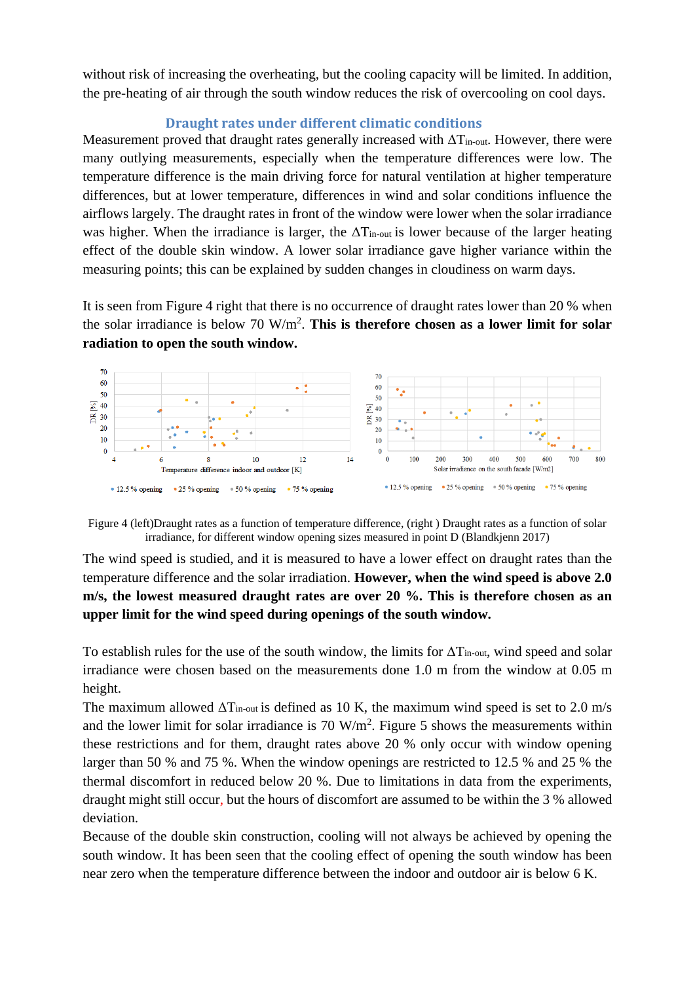without risk of increasing the overheating, but the cooling capacity will be limited. In addition, the pre-heating of air through the south window reduces the risk of overcooling on cool days.

# **Draught rates under different climatic conditions**

Measurement proved that draught rates generally increased with  $\Delta T_{\text{in-out}}$ . However, there were many outlying measurements, especially when the temperature differences were low. The temperature difference is the main driving force for natural ventilation at higher temperature differences, but at lower temperature, differences in wind and solar conditions influence the airflows largely. The draught rates in front of the window were lower when the solar irradiance was higher. When the irradiance is larger, the  $\Delta T_{in-out}$  is lower because of the larger heating effect of the double skin window. A lower solar irradiance gave higher variance within the measuring points; this can be explained by sudden changes in cloudiness on warm days.

It is seen from [Figure 4](#page-4-0) right that there is no occurrence of draught rates lower than 20 % when the solar irradiance is below 70 W/m<sup>2</sup> . **This is therefore chosen as a lower limit for solar radiation to open the south window.** 



<span id="page-4-0"></span>Figure 4 (left)Draught rates as a function of temperature difference, (right ) Draught rates as a function of solar irradiance, for different window opening sizes measured in point D (Blandkjenn 2017)

The wind speed is studied, and it is measured to have a lower effect on draught rates than the temperature difference and the solar irradiation. **However, when the wind speed is above 2.0 m/s, the lowest measured draught rates are over 20 %. This is therefore chosen as an upper limit for the wind speed during openings of the south window.**

To establish rules for the use of the south window, the limits for  $\Delta T_{in-out}$ , wind speed and solar irradiance were chosen based on the measurements done 1.0 m from the window at 0.05 m height.

The maximum allowed  $\Delta T_{in-out}$  is defined as 10 K, the maximum wind speed is set to 2.0 m/s and the lower limit for solar irradiance is  $70 \text{ W/m}^2$ . [Figure 5](#page-5-0) shows the measurements within these restrictions and for them, draught rates above 20 % only occur with window opening larger than 50 % and 75 %. When the window openings are restricted to 12.5 % and 25 % the thermal discomfort in reduced below 20 %. Due to limitations in data from the experiments, draught might still occur, but the hours of discomfort are assumed to be within the 3 % allowed deviation.

Because of the double skin construction, cooling will not always be achieved by opening the south window. It has been seen that the cooling effect of opening the south window has been near zero when the temperature difference between the indoor and outdoor air is below 6 K.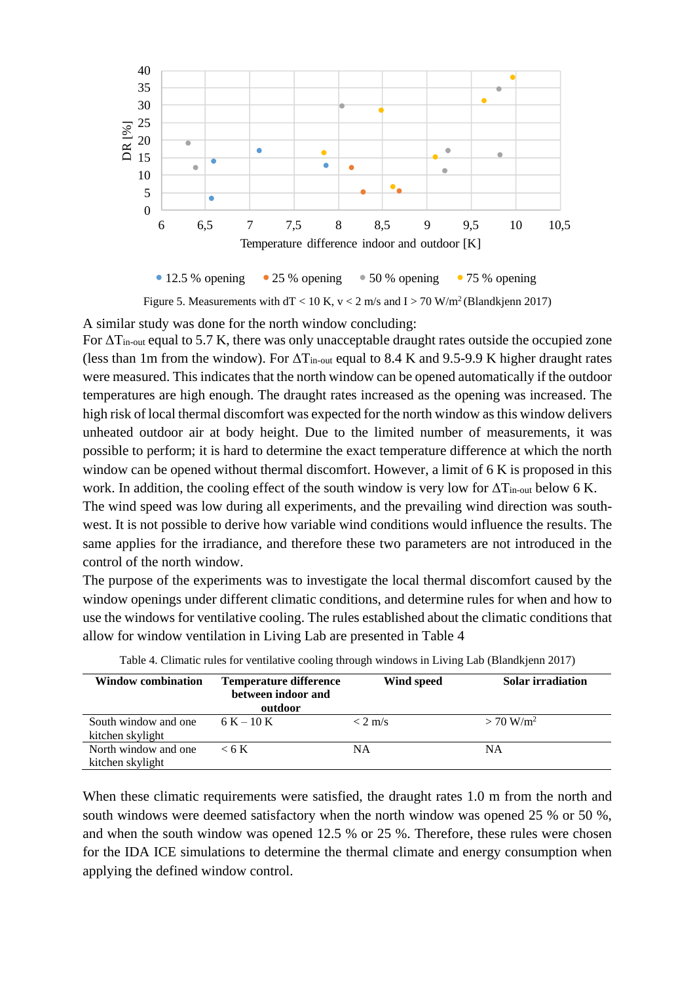

 $\bullet$  12.5 % opening  $\bullet$  25 % opening  $\bullet$  50 % opening  $\bullet$  75 % opening

Figure 5. Measurements with  $dT < 10 K$ ,  $v < 2 m/s$  and  $I > 70 W/m<sup>2</sup>$  (Blandkjenn 2017)

<span id="page-5-0"></span>A similar study was done for the north window concluding:

For  $\Delta T_{\text{in-out}}$  equal to 5.7 K, there was only unacceptable draught rates outside the occupied zone (less than 1m from the window). For  $\Delta T_{in-out}$  equal to 8.4 K and 9.5-9.9 K higher draught rates were measured. This indicates that the north window can be opened automatically if the outdoor temperatures are high enough. The draught rates increased as the opening was increased. The high risk of local thermal discomfort was expected for the north window as this window delivers unheated outdoor air at body height. Due to the limited number of measurements, it was possible to perform; it is hard to determine the exact temperature difference at which the north window can be opened without thermal discomfort. However, a limit of 6 K is proposed in this work. In addition, the cooling effect of the south window is very low for  $\Delta T_{\text{in-out}}$  below 6 K.

The wind speed was low during all experiments, and the prevailing wind direction was southwest. It is not possible to derive how variable wind conditions would influence the results. The same applies for the irradiance, and therefore these two parameters are not introduced in the control of the north window.

The purpose of the experiments was to investigate the local thermal discomfort caused by the window openings under different climatic conditions, and determine rules for when and how to use the windows for ventilative cooling. The rules established about the climatic conditions that allow for window ventilation in Living Lab are presented in [Table 4](#page-5-1)

<span id="page-5-1"></span>

| <b>Window combination</b> | <b>Temperature difference</b><br>between indoor and<br>outdoor | Wind speed | <b>Solar irradiation</b> |
|---------------------------|----------------------------------------------------------------|------------|--------------------------|
| South window and one      | $6 K - 10 K$                                                   | $< 2$ m/s  | $> 70$ W/m <sup>2</sup>  |
| kitchen skylight          |                                                                |            |                          |
| North window and one      | $<$ 6 K                                                        | NΑ         | NΑ                       |
| kitchen skylight          |                                                                |            |                          |

Table 4. Climatic rules for ventilative cooling through windows in Living Lab (Blandkjenn 2017)

When these climatic requirements were satisfied, the draught rates 1.0 m from the north and south windows were deemed satisfactory when the north window was opened 25 % or 50 %, and when the south window was opened 12.5 % or 25 %. Therefore, these rules were chosen for the IDA ICE simulations to determine the thermal climate and energy consumption when applying the defined window control.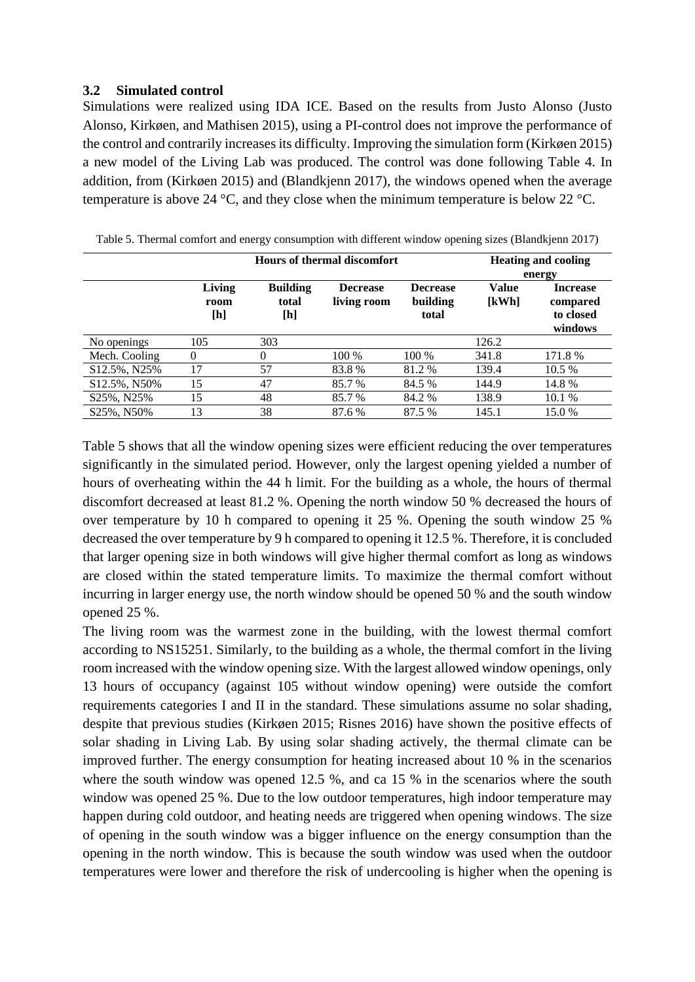### **3.2 Simulated control**

Simulations were realized using IDA ICE. Based on the results from Justo Alonso (Justo Alonso, Kirkøen, and Mathisen 2015), using a PI-control does not improve the performance of the control and contrarily increases its difficulty. Improving the simulation form (Kirkøen 2015) a new model of the Living Lab was produced. The control was done following [Table 4.](#page-5-1) In addition, from (Kirkøen 2015) and (Blandkjenn 2017), the windows opened when the average temperature is above 24 °C, and they close when the minimum temperature is below 22 °C.

| <b>Hours of thermal discomfort</b> |                       |                                 |                                | <b>Heating and cooling</b>           |                       |                                                               |
|------------------------------------|-----------------------|---------------------------------|--------------------------------|--------------------------------------|-----------------------|---------------------------------------------------------------|
|                                    | Living<br>room<br>[h] | <b>Building</b><br>total<br>[h] | <b>Decrease</b><br>living room | <b>Decrease</b><br>building<br>total | <b>Value</b><br>[kWh] | energy<br><b>Increase</b><br>compared<br>to closed<br>windows |
| No openings                        | 105                   | 303                             |                                |                                      | 126.2                 |                                                               |
| Mech. Cooling                      | $\theta$              | 0                               | 100 %                          | 100 %                                | 341.8                 | 171.8 %                                                       |
| S12.5%, N25%                       | 17                    | 57                              | 83.8%                          | 81.2 %                               | 139.4                 | 10.5 %                                                        |
| S12.5%, N50%                       | 15                    | 47                              | 85.7 %                         | 84.5 %                               | 144.9                 | 14.8 %                                                        |
| S25%, N25%                         | 15                    | 48                              | 85.7 %                         | 84.2 %                               | 138.9                 | 10.1 %                                                        |
| S25%, N50%                         | 13                    | 38                              | 87.6 %                         | 87.5 %                               | 145.1                 | 15.0 %                                                        |

<span id="page-6-0"></span>Table 5. Thermal comfort and energy consumption with different window opening sizes (Blandkjenn 2017)

[Table 5](#page-6-0) shows that all the window opening sizes were efficient reducing the over temperatures significantly in the simulated period. However, only the largest opening yielded a number of hours of overheating within the 44 h limit. For the building as a whole, the hours of thermal discomfort decreased at least 81.2 %. Opening the north window 50 % decreased the hours of over temperature by 10 h compared to opening it 25 %. Opening the south window 25 % decreased the over temperature by 9 h compared to opening it 12.5 %. Therefore, it is concluded that larger opening size in both windows will give higher thermal comfort as long as windows are closed within the stated temperature limits. To maximize the thermal comfort without incurring in larger energy use, the north window should be opened 50 % and the south window opened 25 %.

The living room was the warmest zone in the building, with the lowest thermal comfort according to NS15251. Similarly, to the building as a whole, the thermal comfort in the living room increased with the window opening size. With the largest allowed window openings, only 13 hours of occupancy (against 105 without window opening) were outside the comfort requirements categories I and II in the standard. These simulations assume no solar shading, despite that previous studies (Kirkøen 2015; Risnes 2016) have shown the positive effects of solar shading in Living Lab. By using solar shading actively, the thermal climate can be improved further. The energy consumption for heating increased about 10 % in the scenarios where the south window was opened 12.5 %, and ca 15 % in the scenarios where the south window was opened 25 %. Due to the low outdoor temperatures, high indoor temperature may happen during cold outdoor, and heating needs are triggered when opening windows. The size of opening in the south window was a bigger influence on the energy consumption than the opening in the north window. This is because the south window was used when the outdoor temperatures were lower and therefore the risk of undercooling is higher when the opening is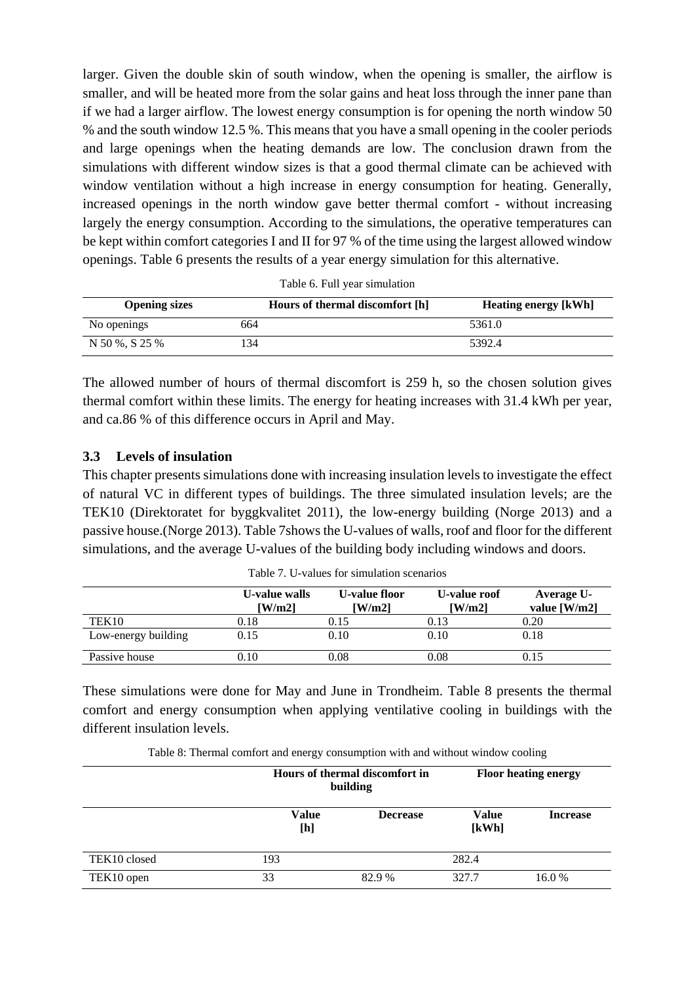larger. Given the double skin of south window, when the opening is smaller, the airflow is smaller, and will be heated more from the solar gains and heat loss through the inner pane than if we had a larger airflow. The lowest energy consumption is for opening the north window 50 % and the south window 12.5 %. This means that you have a small opening in the cooler periods and large openings when the heating demands are low. The conclusion drawn from the simulations with different window sizes is that a good thermal climate can be achieved with window ventilation without a high increase in energy consumption for heating. Generally, increased openings in the north window gave better thermal comfort - without increasing largely the energy consumption. According to the simulations, the operative temperatures can be kept within comfort categories I and II for 97 % of the time using the largest allowed window openings. [Table 6](#page-7-0) presents the results of a year energy simulation for this alternative.

<span id="page-7-0"></span>

| <b>Opening sizes</b> | Hours of thermal discomfort [h] | <b>Heating energy [kWh]</b> |
|----------------------|---------------------------------|-----------------------------|
| No openings          | 664                             | 5361.0                      |
| N 50 %, S 25 %       | !34                             | 5392.4                      |

Table 6. Full year simulation

The allowed number of hours of thermal discomfort is 259 h, so the chosen solution gives thermal comfort within these limits. The energy for heating increases with 31.4 kWh per year, and ca.86 % of this difference occurs in April and May.

### **3.3 Levels of insulation**

This chapter presents simulations done with increasing insulation levels to investigate the effect of natural VC in different types of buildings. The three simulated insulation levels; are the TEK10 (Direktoratet for byggkvalitet 2011), the low-energy building (Norge 2013) and a passive house.(Norge 2013). [Table 7s](#page-7-1)hows the U-values of walls, roof and floor for the different simulations, and the average U-values of the building body including windows and doors.

<span id="page-7-1"></span>

|                     | U-value walls<br>$\lceil W/m2 \rceil$ | U-value floor<br>$\lceil W/m2 \rceil$ | U-value roof<br>$\lceil W/m2 \rceil$ | Average U-<br>value $[W/m2]$ |
|---------------------|---------------------------------------|---------------------------------------|--------------------------------------|------------------------------|
| TEK <sub>10</sub>   | 0.18                                  | 0.15                                  | 0.13                                 | 0.20                         |
| Low-energy building | 0.15                                  | 0.10                                  | 0.10                                 | 0.18                         |
| Passive house       | 0.10                                  | $0.08\,$                              | $0.08\,$                             | 0.15                         |

Table 7. U-values for simulation scenarios

These simulations were done for May and June in Trondheim. [Table 8](#page-7-2) presents the thermal comfort and energy consumption when applying ventilative cooling in buildings with the different insulation levels.

Table 8: Thermal comfort and energy consumption with and without window cooling

<span id="page-7-2"></span>

|              |                     | Hours of thermal discomfort in<br>building |                       | <b>Floor heating energy</b> |  |
|--------------|---------------------|--------------------------------------------|-----------------------|-----------------------------|--|
|              | <b>Value</b><br>[h] | <b>Decrease</b>                            | <b>Value</b><br>[kWh] | <b>Increase</b>             |  |
| TEK10 closed | 193                 |                                            | 282.4                 |                             |  |
| TEK10 open   | 33                  | 82.9%                                      | 327.7                 | 16.0%                       |  |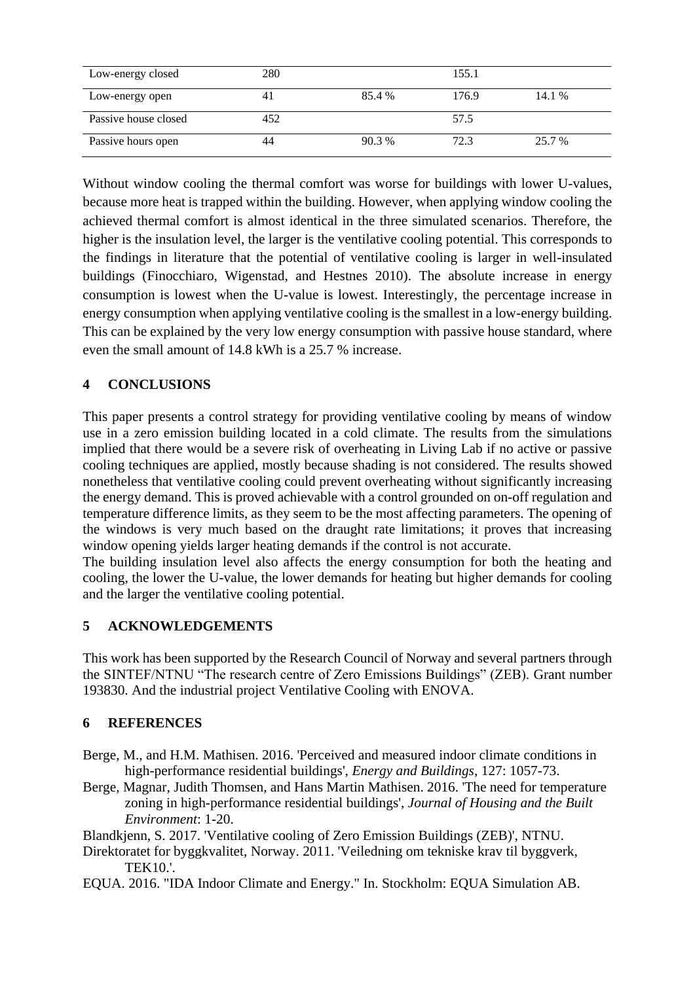| Low-energy closed    | 280 |        | 155.1 |        |
|----------------------|-----|--------|-------|--------|
| Low-energy open      | 41  | 85.4 % | 176.9 | 14.1 % |
| Passive house closed | 452 |        | 57.5  |        |
| Passive hours open   | 44  | 90.3%  | 72.3  | 25.7 % |

Without window cooling the thermal comfort was worse for buildings with lower U-values, because more heat is trapped within the building. However, when applying window cooling the achieved thermal comfort is almost identical in the three simulated scenarios. Therefore, the higher is the insulation level, the larger is the ventilative cooling potential. This corresponds to the findings in literature that the potential of ventilative cooling is larger in well-insulated buildings (Finocchiaro, Wigenstad, and Hestnes 2010). The absolute increase in energy consumption is lowest when the U-value is lowest. Interestingly, the percentage increase in energy consumption when applying ventilative cooling is the smallest in a low-energy building. This can be explained by the very low energy consumption with passive house standard, where even the small amount of 14.8 kWh is a 25.7 % increase.

# **4 CONCLUSIONS**

This paper presents a control strategy for providing ventilative cooling by means of window use in a zero emission building located in a cold climate. The results from the simulations implied that there would be a severe risk of overheating in Living Lab if no active or passive cooling techniques are applied, mostly because shading is not considered. The results showed nonetheless that ventilative cooling could prevent overheating without significantly increasing the energy demand. This is proved achievable with a control grounded on on-off regulation and temperature difference limits, as they seem to be the most affecting parameters. The opening of the windows is very much based on the draught rate limitations; it proves that increasing window opening yields larger heating demands if the control is not accurate.

The building insulation level also affects the energy consumption for both the heating and cooling, the lower the U-value, the lower demands for heating but higher demands for cooling and the larger the ventilative cooling potential.

# **5 ACKNOWLEDGEMENTS**

This work has been supported by the Research Council of Norway and several partners through the SINTEF/NTNU "The research centre of Zero Emissions Buildings" (ZEB). Grant number 193830. And the industrial project Ventilative Cooling with ENOVA.

# **6 REFERENCES**

- Berge, M., and H.M. Mathisen. 2016. 'Perceived and measured indoor climate conditions in high-performance residential buildings', *Energy and Buildings*, 127: 1057-73.
- Berge, Magnar, Judith Thomsen, and Hans Martin Mathisen. 2016. 'The need for temperature zoning in high-performance residential buildings', *Journal of Housing and the Built Environment*: 1-20.

Blandkjenn, S. 2017. 'Ventilative cooling of Zero Emission Buildings (ZEB)', NTNU.

- Direktoratet for byggkvalitet, Norway. 2011. 'Veiledning om tekniske krav til byggverk, TEK10.'.
- EQUA. 2016. "IDA Indoor Climate and Energy." In. Stockholm: EQUA Simulation AB.